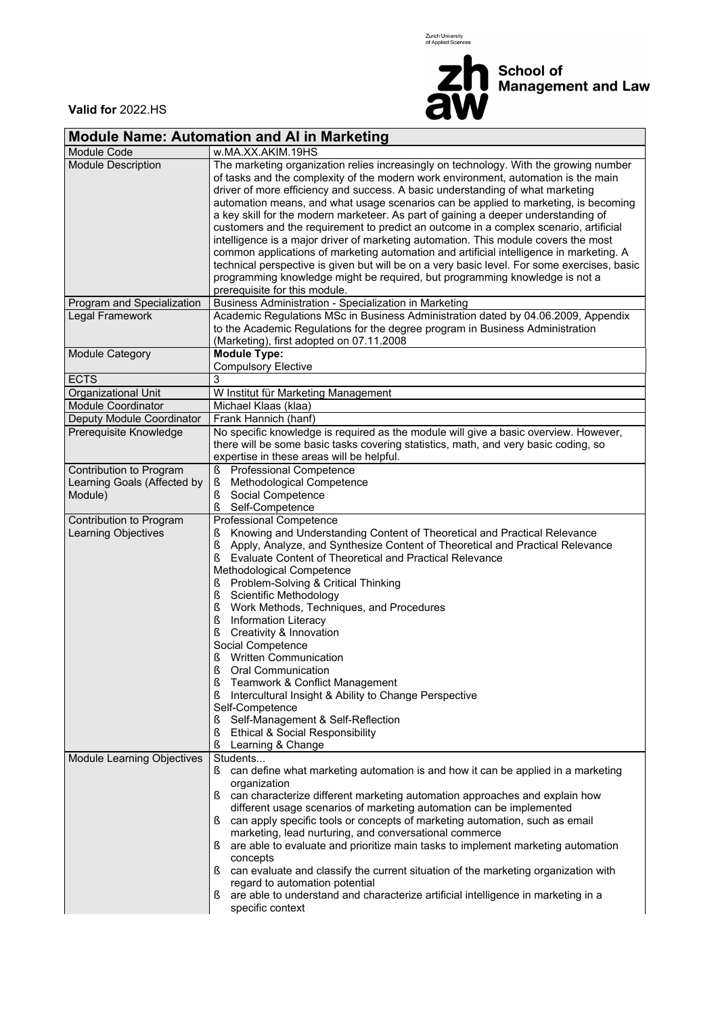Zurich University<br>of Applied Sciences



**School of<br>Management and Law** 

 $\overline{\phantom{0}}$ 

**Valid for** 2022.HS

| Module Name: Automation and AI in Marketing                       |                                                                                                                                                                                                                                                                                                                                                                                                                                                                                                                                                                                                                                                                                                                                                                                                                                    |  |  |  |  |  |  |  |  |
|-------------------------------------------------------------------|------------------------------------------------------------------------------------------------------------------------------------------------------------------------------------------------------------------------------------------------------------------------------------------------------------------------------------------------------------------------------------------------------------------------------------------------------------------------------------------------------------------------------------------------------------------------------------------------------------------------------------------------------------------------------------------------------------------------------------------------------------------------------------------------------------------------------------|--|--|--|--|--|--|--|--|
| <b>Module Code</b>                                                | w.MA.XX.AKIM.19HS                                                                                                                                                                                                                                                                                                                                                                                                                                                                                                                                                                                                                                                                                                                                                                                                                  |  |  |  |  |  |  |  |  |
| <b>Module Description</b>                                         | The marketing organization relies increasingly on technology. With the growing number<br>of tasks and the complexity of the modern work environment, automation is the main<br>driver of more efficiency and success. A basic understanding of what marketing<br>automation means, and what usage scenarios can be applied to marketing, is becoming<br>a key skill for the modern marketeer. As part of gaining a deeper understanding of<br>customers and the requirement to predict an outcome in a complex scenario, artificial<br>intelligence is a major driver of marketing automation. This module covers the most<br>common applications of marketing automation and artificial intelligence in marketing. A<br>technical perspective is given but will be on a very basic level. For some exercises, basic               |  |  |  |  |  |  |  |  |
|                                                                   | programming knowledge might be required, but programming knowledge is not a<br>prerequisite for this module.                                                                                                                                                                                                                                                                                                                                                                                                                                                                                                                                                                                                                                                                                                                       |  |  |  |  |  |  |  |  |
| Program and Specialization                                        | Business Administration - Specialization in Marketing                                                                                                                                                                                                                                                                                                                                                                                                                                                                                                                                                                                                                                                                                                                                                                              |  |  |  |  |  |  |  |  |
| Legal Framework                                                   | Academic Regulations MSc in Business Administration dated by 04.06.2009, Appendix<br>to the Academic Regulations for the degree program in Business Administration<br>(Marketing), first adopted on 07.11.2008                                                                                                                                                                                                                                                                                                                                                                                                                                                                                                                                                                                                                     |  |  |  |  |  |  |  |  |
| Module Category                                                   | <b>Module Type:</b><br><b>Compulsory Elective</b>                                                                                                                                                                                                                                                                                                                                                                                                                                                                                                                                                                                                                                                                                                                                                                                  |  |  |  |  |  |  |  |  |
| <b>ECTS</b>                                                       | 3                                                                                                                                                                                                                                                                                                                                                                                                                                                                                                                                                                                                                                                                                                                                                                                                                                  |  |  |  |  |  |  |  |  |
| Organizational Unit                                               | W Institut für Marketing Management                                                                                                                                                                                                                                                                                                                                                                                                                                                                                                                                                                                                                                                                                                                                                                                                |  |  |  |  |  |  |  |  |
| <b>Module Coordinator</b>                                         | Michael Klaas (klaa)                                                                                                                                                                                                                                                                                                                                                                                                                                                                                                                                                                                                                                                                                                                                                                                                               |  |  |  |  |  |  |  |  |
| Deputy Module Coordinator                                         | Frank Hannich (hanf)                                                                                                                                                                                                                                                                                                                                                                                                                                                                                                                                                                                                                                                                                                                                                                                                               |  |  |  |  |  |  |  |  |
| Prerequisite Knowledge                                            | No specific knowledge is required as the module will give a basic overview. However,<br>there will be some basic tasks covering statistics, math, and very basic coding, so<br>expertise in these areas will be helpful.                                                                                                                                                                                                                                                                                                                                                                                                                                                                                                                                                                                                           |  |  |  |  |  |  |  |  |
| Contribution to Program<br>Learning Goals (Affected by<br>Module) | Professional Competence<br>ş<br>ş<br>Methodological Competence<br>Social Competence<br>ş<br>ş<br>Self-Competence                                                                                                                                                                                                                                                                                                                                                                                                                                                                                                                                                                                                                                                                                                                   |  |  |  |  |  |  |  |  |
| Contribution to Program<br><b>Learning Objectives</b>             | Professional Competence<br>Knowing and Understanding Content of Theoretical and Practical Relevance<br>ş<br>Ş<br>Apply, Analyze, and Synthesize Content of Theoretical and Practical Relevance<br>Evaluate Content of Theoretical and Practical Relevance<br>ş<br>Methodological Competence<br>Problem-Solving & Critical Thinking<br>S<br>Scientific Methodology<br>ş<br>Ş<br>Work Methods, Techniques, and Procedures<br>ş<br><b>Information Literacy</b><br>ş<br>Creativity & Innovation<br>Social Competence<br><b>Written Communication</b><br>ş<br>ξ<br>Oral Communication<br>$\S$<br>Teamwork & Conflict Management<br>Intercultural Insight & Ability to Change Perspective<br>ş<br>Self-Competence<br>Self-Management & Self-Reflection<br>S<br>ş<br><b>Ethical &amp; Social Responsibility</b><br>ş<br>Learning & Change |  |  |  |  |  |  |  |  |
| Module Learning Objectives                                        | Students<br>can define what marketing automation is and how it can be applied in a marketing<br>S.<br>organization<br>can characterize different marketing automation approaches and explain how<br>different usage scenarios of marketing automation can be implemented<br>can apply specific tools or concepts of marketing automation, such as email<br>ş<br>marketing, lead nurturing, and conversational commerce<br>are able to evaluate and prioritize main tasks to implement marketing automation<br>concepts<br>can evaluate and classify the current situation of the marketing organization with<br>ş<br>regard to automation potential<br>are able to understand and characterize artificial intelligence in marketing in a<br>specific context                                                                       |  |  |  |  |  |  |  |  |